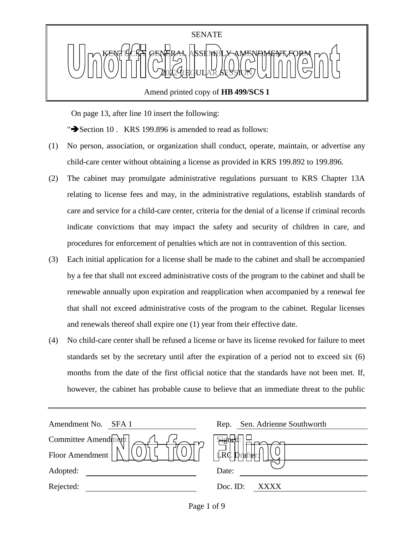

Amend printed copy of **HB 499/SCS 1**

On page 13, after line 10 insert the following:

" $\blacktriangleright$  Section 10 . KRS 199.896 is amended to read as follows:

- (1) No person, association, or organization shall conduct, operate, maintain, or advertise any child-care center without obtaining a license as provided in KRS 199.892 to 199.896.
- (2) The cabinet may promulgate administrative regulations pursuant to KRS Chapter 13A relating to license fees and may, in the administrative regulations, establish standards of care and service for a child-care center, criteria for the denial of a license if criminal records indicate convictions that may impact the safety and security of children in care, and procedures for enforcement of penalties which are not in contravention of this section.
- (3) Each initial application for a license shall be made to the cabinet and shall be accompanied by a fee that shall not exceed administrative costs of the program to the cabinet and shall be renewable annually upon expiration and reapplication when accompanied by a renewal fee that shall not exceed administrative costs of the program to the cabinet. Regular licenses and renewals thereof shall expire one (1) year from their effective date.
- (4) No child-care center shall be refused a license or have its license revoked for failure to meet standards set by the secretary until after the expiration of a period not to exceed six (6) months from the date of the first official notice that the standards have not been met. If, however, the cabinet has probable cause to believe that an immediate threat to the public

| Amendment No.<br>SFA 1 | Sen. Adrienne Southworth<br>Rep. |
|------------------------|----------------------------------|
| Committee Amendment    | $\frac{1}{2}$                    |
| Floor Amendment        | LRC                              |
| Adopted:               | Date:                            |
| Rejected:              | Doc. ID:<br>xxxx                 |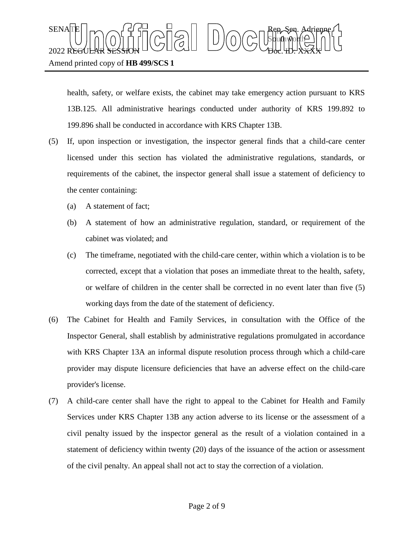health, safety, or welfare exists, the cabinet may take emergency action pursuant to KRS 13B.125. All administrative hearings conducted under authority of KRS 199.892 to 199.896 shall be conducted in accordance with KRS Chapter 13B.

- (5) If, upon inspection or investigation, the inspector general finds that a child-care center licensed under this section has violated the administrative regulations, standards, or requirements of the cabinet, the inspector general shall issue a statement of deficiency to the center containing:
	- (a) A statement of fact;
	- (b) A statement of how an administrative regulation, standard, or requirement of the cabinet was violated; and
	- (c) The timeframe, negotiated with the child-care center, within which a violation is to be corrected, except that a violation that poses an immediate threat to the health, safety, or welfare of children in the center shall be corrected in no event later than five (5) working days from the date of the statement of deficiency.
- (6) The Cabinet for Health and Family Services, in consultation with the Office of the Inspector General, shall establish by administrative regulations promulgated in accordance with KRS Chapter 13A an informal dispute resolution process through which a child-care provider may dispute licensure deficiencies that have an adverse effect on the child-care provider's license.
- (7) A child-care center shall have the right to appeal to the Cabinet for Health and Family Services under KRS Chapter 13B any action adverse to its license or the assessment of a civil penalty issued by the inspector general as the result of a violation contained in a statement of deficiency within twenty (20) days of the issuance of the action or assessment of the civil penalty. An appeal shall not act to stay the correction of a violation.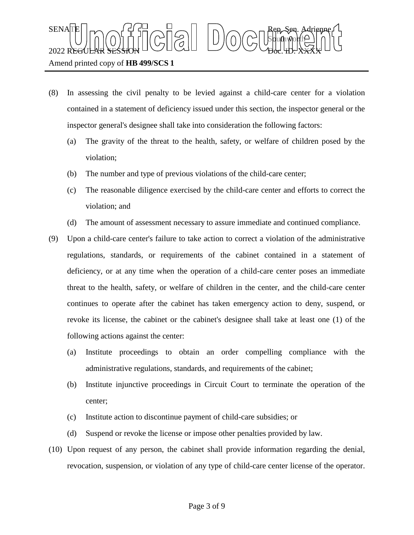Sbufhworth  $2022$  REGULAR SESSION DOLLOURED DO COURT TO CHARLED.  $\chi_{\rm{H}}$ 

 $\text{SENA}[\mathbb{E} | \mid_{\mathsf{T}} \frown \bigcap_{\mathsf{S}} \mathsf{G}] \frown \bigcup_{\mathsf{S}} \bigcap_{\mathsf{S}} \bigcap_{\mathsf{S}} \bigcap_{\mathsf{S}} \bigcap_{\mathsf{S}} \bigcap_{\mathsf{S}} \mathsf{G} \mathsf{G} \bigcap_{\mathsf{S}} \mathsf{G} \mathsf{G} \bigcap_{\mathsf{S}} \mathsf{G} \bigcap_{\mathsf{S}} \mathsf{G} \bigcap_{\mathsf{S}} \mathsf{G} \bigcap_{\mathsf{S}} \mathsf{G} \bigcap_{\mathsf{S}} \mathsf{G} \big$ 

Amend printed copy of **HB 499/SCS 1**

- (8) In assessing the civil penalty to be levied against a child-care center for a violation contained in a statement of deficiency issued under this section, the inspector general or the inspector general's designee shall take into consideration the following factors:
	- (a) The gravity of the threat to the health, safety, or welfare of children posed by the violation;
	- (b) The number and type of previous violations of the child-care center;
	- (c) The reasonable diligence exercised by the child-care center and efforts to correct the violation; and
	- (d) The amount of assessment necessary to assure immediate and continued compliance.
- (9) Upon a child-care center's failure to take action to correct a violation of the administrative regulations, standards, or requirements of the cabinet contained in a statement of deficiency, or at any time when the operation of a child-care center poses an immediate threat to the health, safety, or welfare of children in the center, and the child-care center continues to operate after the cabinet has taken emergency action to deny, suspend, or revoke its license, the cabinet or the cabinet's designee shall take at least one (1) of the following actions against the center:
	- (a) Institute proceedings to obtain an order compelling compliance with the administrative regulations, standards, and requirements of the cabinet;
	- (b) Institute injunctive proceedings in Circuit Court to terminate the operation of the center;
	- (c) Institute action to discontinue payment of child-care subsidies; or
	- (d) Suspend or revoke the license or impose other penalties provided by law.
- (10) Upon request of any person, the cabinet shall provide information regarding the denial, revocation, suspension, or violation of any type of child-care center license of the operator.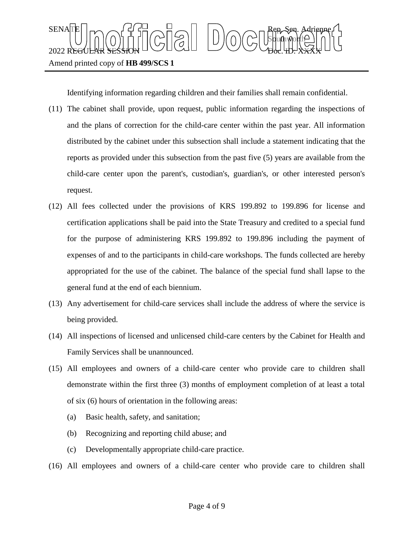

Identifying information regarding children and their families shall remain confidential.

- (11) The cabinet shall provide, upon request, public information regarding the inspections of and the plans of correction for the child-care center within the past year. All information distributed by the cabinet under this subsection shall include a statement indicating that the reports as provided under this subsection from the past five (5) years are available from the child-care center upon the parent's, custodian's, guardian's, or other interested person's request.
- (12) All fees collected under the provisions of KRS 199.892 to 199.896 for license and certification applications shall be paid into the State Treasury and credited to a special fund for the purpose of administering KRS 199.892 to 199.896 including the payment of expenses of and to the participants in child-care workshops. The funds collected are hereby appropriated for the use of the cabinet. The balance of the special fund shall lapse to the general fund at the end of each biennium.
- (13) Any advertisement for child-care services shall include the address of where the service is being provided.
- (14) All inspections of licensed and unlicensed child-care centers by the Cabinet for Health and Family Services shall be unannounced.
- (15) All employees and owners of a child-care center who provide care to children shall demonstrate within the first three (3) months of employment completion of at least a total of six (6) hours of orientation in the following areas:
	- (a) Basic health, safety, and sanitation;
	- (b) Recognizing and reporting child abuse; and
	- (c) Developmentally appropriate child-care practice.
- (16) All employees and owners of a child-care center who provide care to children shall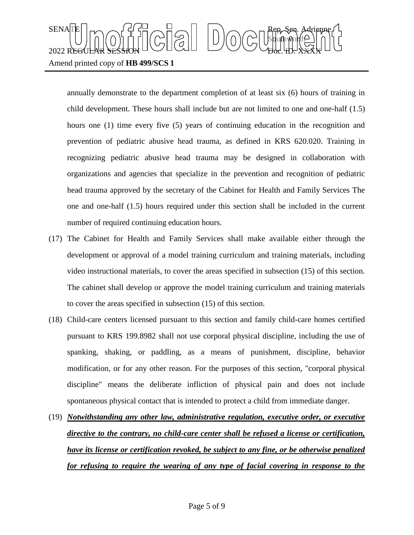## $\text{SENA}[\mathbb{E} | \mid_{\mathsf{T}} \frown \bigcap_{\mathsf{S}} \mathsf{G}] \frown \bigcup_{\mathsf{S}} \bigcap_{\mathsf{S}} \bigcap_{\mathsf{S}} \bigcap_{\mathsf{S}} \bigcap_{\mathsf{S}} \bigcap_{\mathsf{S}} \mathsf{G} \mathsf{G} \bigcap_{\mathsf{S}} \mathsf{G} \mathsf{G} \bigcap_{\mathsf{S}} \mathsf{G} \bigcap_{\mathsf{S}} \mathsf{G} \bigcap_{\mathsf{S}} \mathsf{G} \bigcap_{\mathsf{S}} \mathsf{G} \bigcap_{\mathsf{S}} \mathsf{G} \big$ Sbufhworth  $2022$  REGULAR SESSION DOLLOURED DO COURT TO CHARLED.  $\chi_{\rm{H}}$ Amend printed copy of **HB 499/SCS 1**

annually demonstrate to the department completion of at least six (6) hours of training in child development. These hours shall include but are not limited to one and one-half (1.5) hours one (1) time every five (5) years of continuing education in the recognition and prevention of pediatric abusive head trauma, as defined in KRS 620.020. Training in recognizing pediatric abusive head trauma may be designed in collaboration with organizations and agencies that specialize in the prevention and recognition of pediatric head trauma approved by the secretary of the Cabinet for Health and Family Services The one and one-half (1.5) hours required under this section shall be included in the current number of required continuing education hours.

- (17) The Cabinet for Health and Family Services shall make available either through the development or approval of a model training curriculum and training materials, including video instructional materials, to cover the areas specified in subsection (15) of this section. The cabinet shall develop or approve the model training curriculum and training materials to cover the areas specified in subsection (15) of this section.
- (18) Child-care centers licensed pursuant to this section and family child-care homes certified pursuant to KRS 199.8982 shall not use corporal physical discipline, including the use of spanking, shaking, or paddling, as a means of punishment, discipline, behavior modification, or for any other reason. For the purposes of this section, "corporal physical discipline" means the deliberate infliction of physical pain and does not include spontaneous physical contact that is intended to protect a child from immediate danger.
- (19) *Notwithstanding any other law, administrative regulation, executive order, or executive directive to the contrary, no child-care center shall be refused a license or certification, have its license or certification revoked, be subject to any fine, or be otherwise penalized for refusing to require the wearing of any type of facial covering in response to the*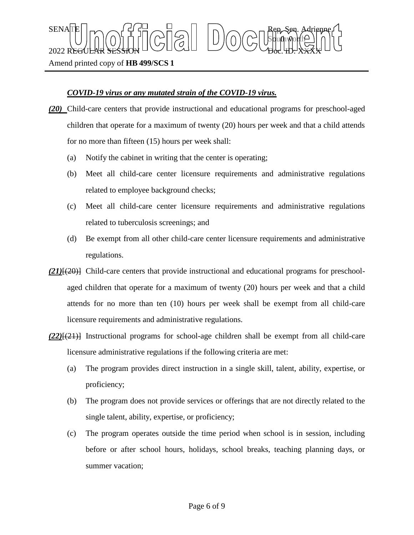Amend printed copy of **HB 499/SCS 1**

## *COVID-19 virus or any mutated strain of the COVID-19 virus.*

 $\text{SENA}[\mathbb{E} | \mid_{\mathsf{T}} \frown \bigcap_{\mathsf{S}} \mathsf{G}] \frown \bigcup_{\mathsf{S}} \bigcap_{\mathsf{S}} \bigcap_{\mathsf{S}} \bigcap_{\mathsf{S}} \bigcap_{\mathsf{S}} \bigcap_{\mathsf{S}} \mathsf{G} \mathsf{G} \bigcap_{\mathsf{S}} \mathsf{G} \mathsf{G} \bigcap_{\mathsf{S}} \mathsf{G} \bigcap_{\mathsf{S}} \mathsf{G} \bigcap_{\mathsf{S}} \mathsf{G} \bigcap_{\mathsf{S}} \mathsf{G} \bigcap_{\mathsf{S}} \mathsf{G} \big$ 

 $2022$  REGULAR SESSION DOLLOURED DO COURT TO CHARLED.  $\chi_{\rm{H}}$ 

*(20)* Child-care centers that provide instructional and educational programs for preschool-aged children that operate for a maximum of twenty (20) hours per week and that a child attends for no more than fifteen (15) hours per week shall:

Sbufhworth

- (a) Notify the cabinet in writing that the center is operating;
- (b) Meet all child-care center licensure requirements and administrative regulations related to employee background checks;
- (c) Meet all child-care center licensure requirements and administrative regulations related to tuberculosis screenings; and
- (d) Be exempt from all other child-care center licensure requirements and administrative regulations.
- *(21)*[(20)] Child-care centers that provide instructional and educational programs for preschoolaged children that operate for a maximum of twenty (20) hours per week and that a child attends for no more than ten (10) hours per week shall be exempt from all child-care licensure requirements and administrative regulations.
- *(22)*[(21)] Instructional programs for school-age children shall be exempt from all child-care licensure administrative regulations if the following criteria are met:
	- (a) The program provides direct instruction in a single skill, talent, ability, expertise, or proficiency;
	- (b) The program does not provide services or offerings that are not directly related to the single talent, ability, expertise, or proficiency;
	- (c) The program operates outside the time period when school is in session, including before or after school hours, holidays, school breaks, teaching planning days, or summer vacation;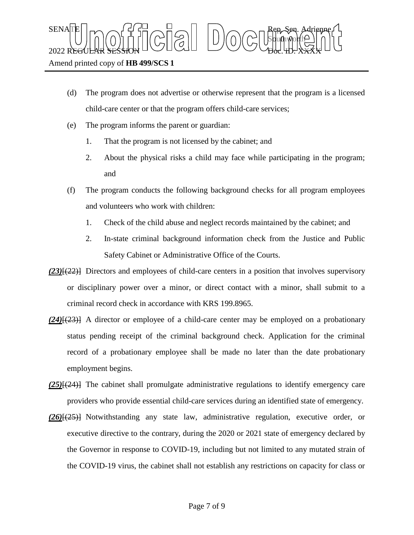- (d) The program does not advertise or otherwise represent that the program is a licensed child-care center or that the program offers child-care services;
- (e) The program informs the parent or guardian:
	- 1. That the program is not licensed by the cabinet; and
	- 2. About the physical risks a child may face while participating in the program; and
- (f) The program conducts the following background checks for all program employees and volunteers who work with children:
	- 1. Check of the child abuse and neglect records maintained by the cabinet; and
	- 2. In-state criminal background information check from the Justice and Public Safety Cabinet or Administrative Office of the Courts.
- *(23)*[(22)] Directors and employees of child-care centers in a position that involves supervisory or disciplinary power over a minor, or direct contact with a minor, shall submit to a criminal record check in accordance with KRS 199.8965.
- *(24)*[(23)] A director or employee of a child-care center may be employed on a probationary status pending receipt of the criminal background check. Application for the criminal record of a probationary employee shall be made no later than the date probationary employment begins.
- *(25)*[(24)] The cabinet shall promulgate administrative regulations to identify emergency care providers who provide essential child-care services during an identified state of emergency.
- *(26)*[(25)] Notwithstanding any state law, administrative regulation, executive order, or executive directive to the contrary, during the 2020 or 2021 state of emergency declared by the Governor in response to COVID-19, including but not limited to any mutated strain of the COVID-19 virus, the cabinet shall not establish any restrictions on capacity for class or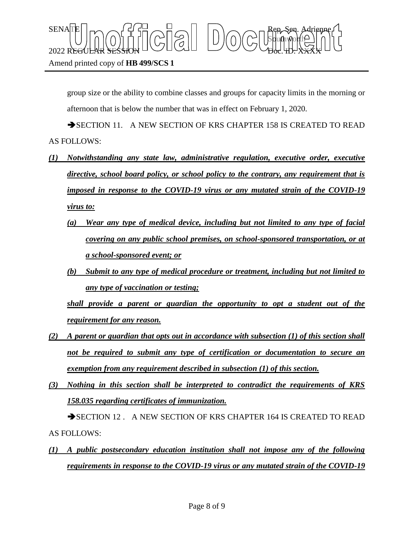group size or the ability to combine classes and groups for capacity limits in the morning or afternoon that is below the number that was in effect on February 1, 2020.

SECTION 11. A NEW SECTION OF KRS CHAPTER 158 IS CREATED TO READ AS FOLLOWS:

- *(1) Notwithstanding any state law, administrative regulation, executive order, executive directive, school board policy, or school policy to the contrary, any requirement that is imposed in response to the COVID-19 virus or any mutated strain of the COVID-19 virus to:*
	- *(a) Wear any type of medical device, including but not limited to any type of facial covering on any public school premises, on school-sponsored transportation, or at a school-sponsored event; or*
	- *(b) Submit to any type of medical procedure or treatment, including but not limited to any type of vaccination or testing;*

*shall provide a parent or guardian the opportunity to opt a student out of the requirement for any reason.*

- *(2) A parent or guardian that opts out in accordance with subsection (1) of this section shall not be required to submit any type of certification or documentation to secure an exemption from any requirement described in subsection (1) of this section.*
- *(3) Nothing in this section shall be interpreted to contradict the requirements of KRS 158.035 regarding certificates of immunization.*

SECTION 12 . A NEW SECTION OF KRS CHAPTER 164 IS CREATED TO READ AS FOLLOWS:

*(1) A public postsecondary education institution shall not impose any of the following requirements in response to the COVID-19 virus or any mutated strain of the COVID-19*